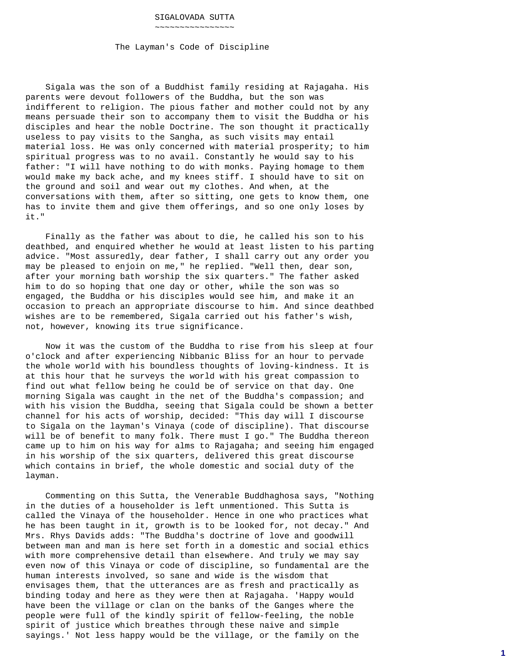## SIGALOVADA SUTTA

~~~~~~~~~~~~~~~~

The Layman's Code of Discipline

 Sigala was the son of a Buddhist family residing at Rajagaha. His parents were devout followers of the Buddha, but the son was indifferent to religion. The pious father and mother could not by any means persuade their son to accompany them to visit the Buddha or his disciples and hear the noble Doctrine. The son thought it practically useless to pay visits to the Sangha, as such visits may entail material loss. He was only concerned with material prosperity; to him spiritual progress was to no avail. Constantly he would say to his father: "I will have nothing to do with monks. Paying homage to them would make my back ache, and my knees stiff. I should have to sit on the ground and soil and wear out my clothes. And when, at the conversations with them, after so sitting, one gets to know them, one has to invite them and give them offerings, and so one only loses by it."

 Finally as the father was about to die, he called his son to his deathbed, and enquired whether he would at least listen to his parting advice. "Most assuredly, dear father, I shall carry out any order you may be pleased to enjoin on me," he replied. "Well then, dear son, after your morning bath worship the six quarters." The father asked him to do so hoping that one day or other, while the son was so engaged, the Buddha or his disciples would see him, and make it an occasion to preach an appropriate discourse to him. And since deathbed wishes are to be remembered, Sigala carried out his father's wish, not, however, knowing its true significance.

 Now it was the custom of the Buddha to rise from his sleep at four o'clock and after experiencing Nibbanic Bliss for an hour to pervade the whole world with his boundless thoughts of loving-kindness. It is at this hour that he surveys the world with his great compassion to find out what fellow being he could be of service on that day. One morning Sigala was caught in the net of the Buddha's compassion; and with his vision the Buddha, seeing that Sigala could be shown a better channel for his acts of worship, decided: "This day will I discourse to Sigala on the layman's Vinaya (code of discipline). That discourse will be of benefit to many folk. There must I go." The Buddha thereon came up to him on his way for alms to Rajagaha; and seeing him engaged in his worship of the six quarters, delivered this great discourse which contains in brief, the whole domestic and social duty of the layman.

 Commenting on this Sutta, the Venerable Buddhaghosa says, "Nothing in the duties of a householder is left unmentioned. This Sutta is called the Vinaya of the householder. Hence in one who practices what he has been taught in it, growth is to be looked for, not decay." And Mrs. Rhys Davids adds: "The Buddha's doctrine of love and goodwill between man and man is here set forth in a domestic and social ethics with more comprehensive detail than elsewhere. And truly we may say even now of this Vinaya or code of discipline, so fundamental are the human interests involved, so sane and wide is the wisdom that envisages them, that the utterances are as fresh and practically as binding today and here as they were then at Rajagaha. 'Happy would have been the village or clan on the banks of the Ganges where the people were full of the kindly spirit of fellow-feeling, the noble spirit of justice which breathes through these naive and simple sayings.' Not less happy would be the village, or the family on the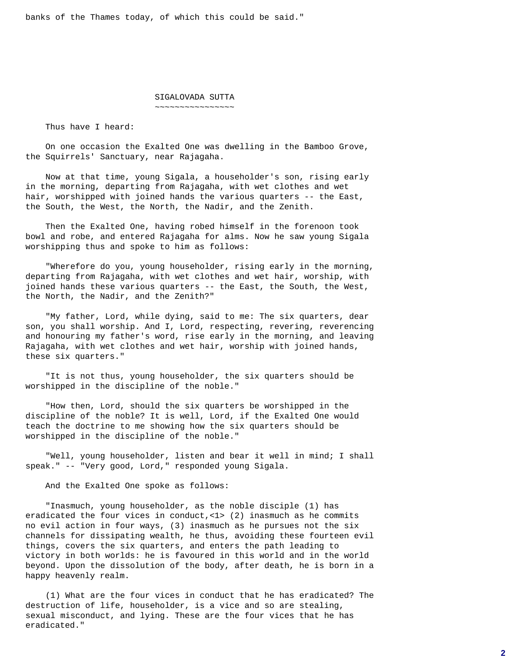banks of the Thames today, of which this could be said."

## SIGALOVADA SUTTA

## ~~~~~~~~~~~~~~~~

Thus have I heard:

 On one occasion the Exalted One was dwelling in the Bamboo Grove, the Squirrels' Sanctuary, near Rajagaha.

 Now at that time, young Sigala, a householder's son, rising early in the morning, departing from Rajagaha, with wet clothes and wet hair, worshipped with joined hands the various quarters -- the East, the South, the West, the North, the Nadir, and the Zenith.

 Then the Exalted One, having robed himself in the forenoon took bowl and robe, and entered Rajagaha for alms. Now he saw young Sigala worshipping thus and spoke to him as follows:

 "Wherefore do you, young householder, rising early in the morning, departing from Rajagaha, with wet clothes and wet hair, worship, with joined hands these various quarters -- the East, the South, the West, the North, the Nadir, and the Zenith?"

 "My father, Lord, while dying, said to me: The six quarters, dear son, you shall worship. And I, Lord, respecting, revering, reverencing and honouring my father's word, rise early in the morning, and leaving Rajagaha, with wet clothes and wet hair, worship with joined hands, these six quarters."

 "It is not thus, young householder, the six quarters should be worshipped in the discipline of the noble."

 "How then, Lord, should the six quarters be worshipped in the discipline of the noble? It is well, Lord, if the Exalted One would teach the doctrine to me showing how the six quarters should be worshipped in the discipline of the noble."

 "Well, young householder, listen and bear it well in mind; I shall speak." -- "Very good, Lord," responded young Sigala.

And the Exalted One spoke as follows:

 "Inasmuch, young householder, as the noble disciple (1) has eradicated the four vices in conduct,<1> (2) inasmuch as he commits no evil action in four ways, (3) inasmuch as he pursues not the six channels for dissipating wealth, he thus, avoiding these fourteen evil things, covers the six quarters, and enters the path leading to victory in both worlds: he is favoured in this world and in the world beyond. Upon the dissolution of the body, after death, he is born in a happy heavenly realm.

 (1) What are the four vices in conduct that he has eradicated? The destruction of life, householder, is a vice and so are stealing, sexual misconduct, and lying. These are the four vices that he has eradicated."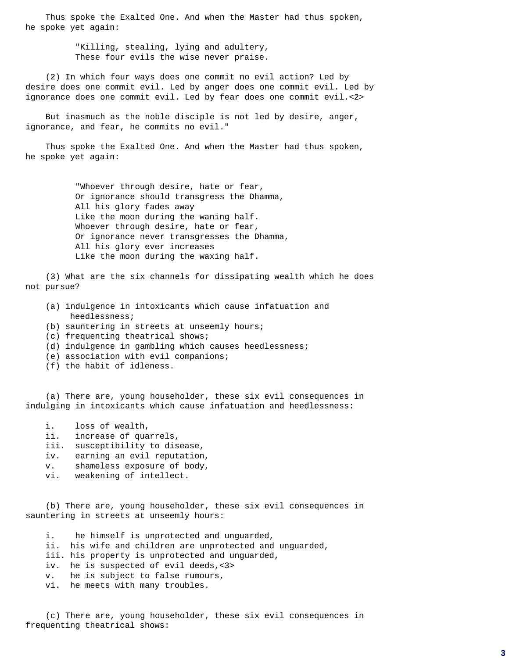Thus spoke the Exalted One. And when the Master had thus spoken, he spoke yet again:

> "Killing, stealing, lying and adultery, These four evils the wise never praise.

 (2) In which four ways does one commit no evil action? Led by desire does one commit evil. Led by anger does one commit evil. Led by ignorance does one commit evil. Led by fear does one commit evil.<2>

 But inasmuch as the noble disciple is not led by desire, anger, ignorance, and fear, he commits no evil."

 Thus spoke the Exalted One. And when the Master had thus spoken, he spoke yet again:

> "Whoever through desire, hate or fear, Or ignorance should transgress the Dhamma, All his glory fades away Like the moon during the waning half. Whoever through desire, hate or fear, Or ignorance never transgresses the Dhamma, All his glory ever increases Like the moon during the waxing half.

 (3) What are the six channels for dissipating wealth which he does not pursue?

- (a) indulgence in intoxicants which cause infatuation and heedlessness;
- (b) sauntering in streets at unseemly hours;
- (c) frequenting theatrical shows;
- (d) indulgence in gambling which causes heedlessness;
- (e) association with evil companions;
- (f) the habit of idleness.

 (a) There are, young householder, these six evil consequences in indulging in intoxicants which cause infatuation and heedlessness:

- i. loss of wealth,
- ii. increase of quarrels,
- iii. susceptibility to disease,
- iv. earning an evil reputation,
- v. shameless exposure of body,
- vi. weakening of intellect.

 (b) There are, young householder, these six evil consequences in sauntering in streets at unseemly hours:

- i. he himself is unprotected and unguarded,
- ii. his wife and children are unprotected and unguarded,
- iii. his property is unprotected and unguarded,
- iv. he is suspected of evil deeds,<3>
- v. he is subject to false rumours,
- vi. he meets with many troubles.

 (c) There are, young householder, these six evil consequences in frequenting theatrical shows: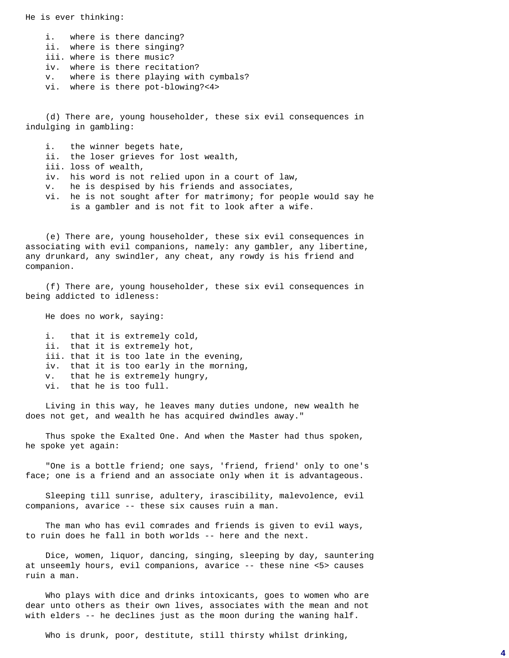He is ever thinking:

 i. where is there dancing? ii. where is there singing? iii. where is there music? iv. where is there recitation? v. where is there playing with cymbals? vi. where is there pot-blowing?<4>

 (d) There are, young householder, these six evil consequences in indulging in gambling:

i. the winner begets hate,

ii. the loser grieves for lost wealth,

iii. loss of wealth,

iv. his word is not relied upon in a court of law,

v. he is despised by his friends and associates,

 vi. he is not sought after for matrimony; for people would say he is a gambler and is not fit to look after a wife.

 (e) There are, young householder, these six evil consequences in associating with evil companions, namely: any gambler, any libertine, any drunkard, any swindler, any cheat, any rowdy is his friend and companion.

 (f) There are, young householder, these six evil consequences in being addicted to idleness:

He does no work, saying:

 i. that it is extremely cold, ii. that it is extremely hot, iii. that it is too late in the evening, iv. that it is too early in the morning, v. that he is extremely hungry, vi. that he is too full.

 Living in this way, he leaves many duties undone, new wealth he does not get, and wealth he has acquired dwindles away."

 Thus spoke the Exalted One. And when the Master had thus spoken, he spoke yet again:

 "One is a bottle friend; one says, 'friend, friend' only to one's face; one is a friend and an associate only when it is advantageous.

 Sleeping till sunrise, adultery, irascibility, malevolence, evil companions, avarice -- these six causes ruin a man.

 The man who has evil comrades and friends is given to evil ways, to ruin does he fall in both worlds -- here and the next.

 Dice, women, liquor, dancing, singing, sleeping by day, sauntering at unseemly hours, evil companions, avarice -- these nine <5> causes ruin a man.

 Who plays with dice and drinks intoxicants, goes to women who are dear unto others as their own lives, associates with the mean and not with elders -- he declines just as the moon during the waning half.

Who is drunk, poor, destitute, still thirsty whilst drinking,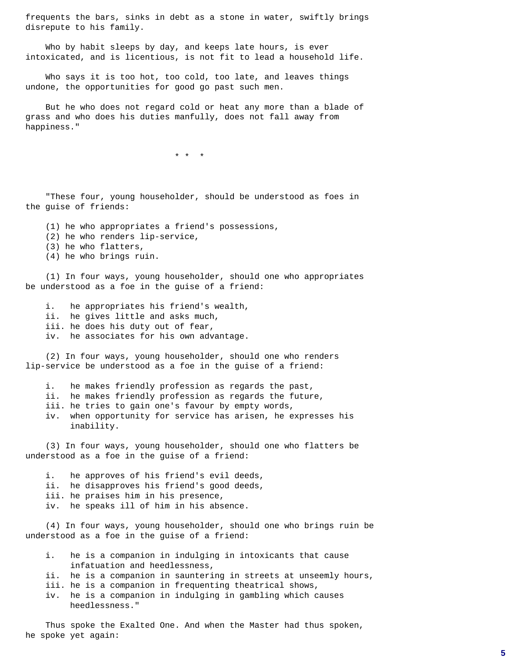frequents the bars, sinks in debt as a stone in water, swiftly brings disrepute to his family.

 Who by habit sleeps by day, and keeps late hours, is ever intoxicated, and is licentious, is not fit to lead a household life.

 Who says it is too hot, too cold, too late, and leaves things undone, the opportunities for good go past such men.

 But he who does not regard cold or heat any more than a blade of grass and who does his duties manfully, does not fall away from happiness."

\* \* \*

 "These four, young householder, should be understood as foes in the guise of friends:

(1) he who appropriates a friend's possessions,

- (2) he who renders lip-service,
- (3) he who flatters,
- (4) he who brings ruin.

 (1) In four ways, young householder, should one who appropriates be understood as a foe in the guise of a friend:

- i. he appropriates his friend's wealth,
- ii. he gives little and asks much,
- iii. he does his duty out of fear,
- iv. he associates for his own advantage.

 (2) In four ways, young householder, should one who renders lip-service be understood as a foe in the guise of a friend:

- i. he makes friendly profession as regards the past,
- ii. he makes friendly profession as regards the future,
- iii. he tries to gain one's favour by empty words,
- iv. when opportunity for service has arisen, he expresses his inability.

 (3) In four ways, young householder, should one who flatters be understood as a foe in the guise of a friend:

 i. he approves of his friend's evil deeds, ii. he disapproves his friend's good deeds, iii. he praises him in his presence, iv. he speaks ill of him in his absence.

 (4) In four ways, young householder, should one who brings ruin be understood as a foe in the guise of a friend:

- i. he is a companion in indulging in intoxicants that cause infatuation and heedlessness,
- ii. he is a companion in sauntering in streets at unseemly hours,
- iii. he is a companion in frequenting theatrical shows,

 iv. he is a companion in indulging in gambling which causes heedlessness."

 Thus spoke the Exalted One. And when the Master had thus spoken, he spoke yet again: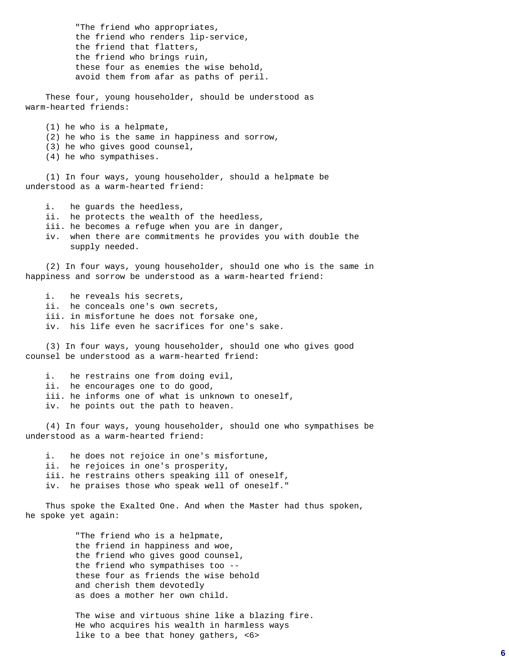"The friend who appropriates, the friend who renders lip-service, the friend that flatters, the friend who brings ruin, these four as enemies the wise behold, avoid them from afar as paths of peril.

 These four, young householder, should be understood as warm-hearted friends:

- (1) he who is a helpmate,
- (2) he who is the same in happiness and sorrow,
- (3) he who gives good counsel,
- (4) he who sympathises.

 (1) In four ways, young householder, should a helpmate be understood as a warm-hearted friend:

- i. he guards the heedless,
- ii. he protects the wealth of the heedless,
- iii. he becomes a refuge when you are in danger,
- iv. when there are commitments he provides you with double the supply needed.

 (2) In four ways, young householder, should one who is the same in happiness and sorrow be understood as a warm-hearted friend:

- i. he reveals his secrets,
- ii. he conceals one's own secrets,
- iii. in misfortune he does not forsake one,
- iv. his life even he sacrifices for one's sake.

 (3) In four ways, young householder, should one who gives good counsel be understood as a warm-hearted friend:

- i. he restrains one from doing evil,
- ii. he encourages one to do good,
- iii. he informs one of what is unknown to oneself,
- iv. he points out the path to heaven.

 (4) In four ways, young householder, should one who sympathises be understood as a warm-hearted friend:

 i. he does not rejoice in one's misfortune, ii. he rejoices in one's prosperity, iii. he restrains others speaking ill of oneself, iv. he praises those who speak well of oneself."

 Thus spoke the Exalted One. And when the Master had thus spoken, he spoke yet again:

> "The friend who is a helpmate, the friend in happiness and woe, the friend who gives good counsel, the friend who sympathises too - these four as friends the wise behold and cherish them devotedly as does a mother her own child.

 The wise and virtuous shine like a blazing fire. He who acquires his wealth in harmless ways like to a bee that honey gathers, <6>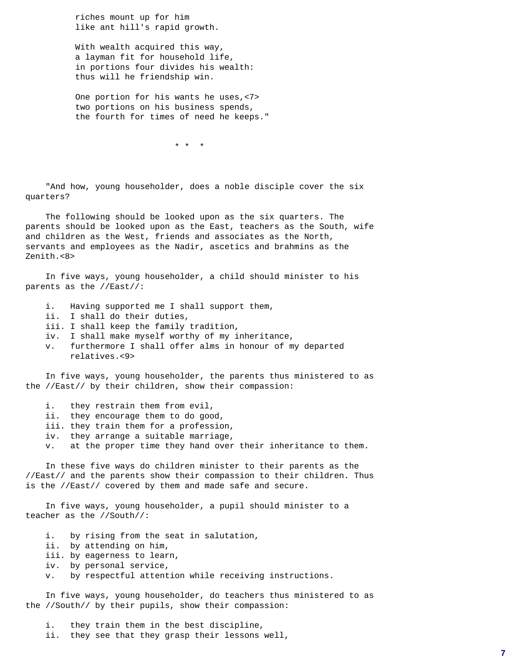riches mount up for him like ant hill's rapid growth.

 With wealth acquired this way, a layman fit for household life, in portions four divides his wealth: thus will he friendship win.

 One portion for his wants he uses,<7> two portions on his business spends, the fourth for times of need he keeps."

\* \* \*

 "And how, young householder, does a noble disciple cover the six quarters?

 The following should be looked upon as the six quarters. The parents should be looked upon as the East, teachers as the South, wife and children as the West, friends and associates as the North, servants and employees as the Nadir, ascetics and brahmins as the Zenith.<8>

 In five ways, young householder, a child should minister to his parents as the //East//:

- i. Having supported me I shall support them,
- ii. I shall do their duties,
- iii. I shall keep the family tradition,
- iv. I shall make myself worthy of my inheritance,
- v. furthermore I shall offer alms in honour of my departed relatives.<9>

 In five ways, young householder, the parents thus ministered to as the //East// by their children, show their compassion:

- i. they restrain them from evil,
- ii. they encourage them to do good,
- iii. they train them for a profession,
- iv. they arrange a suitable marriage,
- v. at the proper time they hand over their inheritance to them.

 In these five ways do children minister to their parents as the //East// and the parents show their compassion to their children. Thus is the //East// covered by them and made safe and secure.

 In five ways, young householder, a pupil should minister to a teacher as the //South//:

- i. by rising from the seat in salutation,
- ii. by attending on him,
- iii. by eagerness to learn,
- iv. by personal service,
- v. by respectful attention while receiving instructions.

 In five ways, young householder, do teachers thus ministered to as the //South// by their pupils, show their compassion:

 i. they train them in the best discipline, ii. they see that they grasp their lessons well,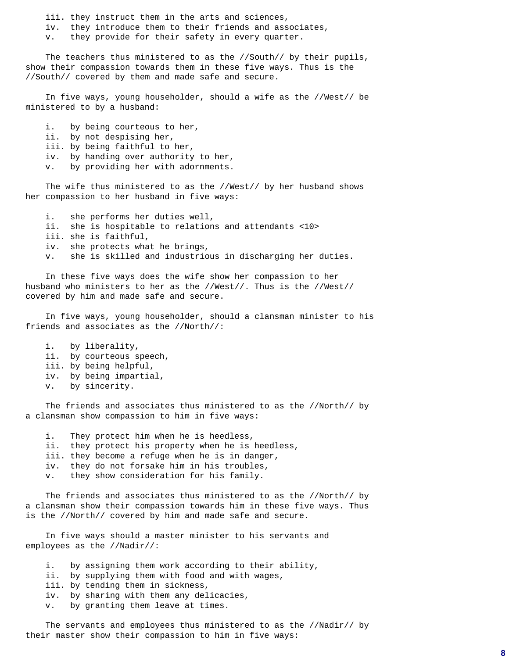iii. they instruct them in the arts and sciences,

iv. they introduce them to their friends and associates,

v. they provide for their safety in every quarter.

 The teachers thus ministered to as the //South// by their pupils, show their compassion towards them in these five ways. Thus is the //South// covered by them and made safe and secure.

 In five ways, young householder, should a wife as the //West// be ministered to by a husband:

- i. by being courteous to her,
- ii. by not despising her,
- iii. by being faithful to her,
- iv. by handing over authority to her,
- v. by providing her with adornments.

 The wife thus ministered to as the //West// by her husband shows her compassion to her husband in five ways:

 i. she performs her duties well, ii. she is hospitable to relations and attendants <10> iii. she is faithful, iv. she protects what he brings, v. she is skilled and industrious in discharging her duties.

 In these five ways does the wife show her compassion to her husband who ministers to her as the //West//. Thus is the //West// covered by him and made safe and secure.

 In five ways, young householder, should a clansman minister to his friends and associates as the //North//:

- i. by liberality,
- ii. by courteous speech,
- iii. by being helpful,
- iv. by being impartial,
- v. by sincerity.

 The friends and associates thus ministered to as the //North// by a clansman show compassion to him in five ways:

- i. They protect him when he is heedless,
- ii. they protect his property when he is heedless,
- iii. they become a refuge when he is in danger,
- iv. they do not forsake him in his troubles,
- v. they show consideration for his family.

 The friends and associates thus ministered to as the //North// by a clansman show their compassion towards him in these five ways. Thus is the //North// covered by him and made safe and secure.

 In five ways should a master minister to his servants and employees as the //Nadir//:

- i. by assigning them work according to their ability,
- ii. by supplying them with food and with wages,
- iii. by tending them in sickness,
- iv. by sharing with them any delicacies,
- v. by granting them leave at times.

 The servants and employees thus ministered to as the //Nadir// by their master show their compassion to him in five ways: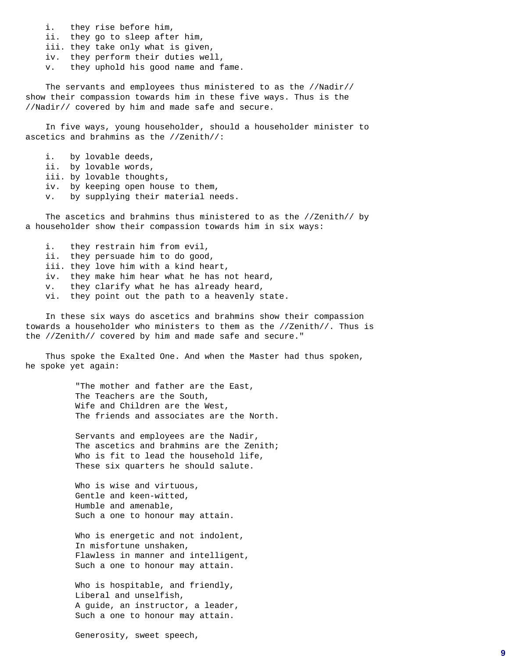- i. they rise before him,
- ii. they go to sleep after him,
- iii. they take only what is given,
- iv. they perform their duties well,
- v. they uphold his good name and fame.

 The servants and employees thus ministered to as the //Nadir// show their compassion towards him in these five ways. Thus is the //Nadir// covered by him and made safe and secure.

 In five ways, young householder, should a householder minister to ascetics and brahmins as the //Zenith//:

- i. by lovable deeds,
- ii. by lovable words,
- iii. by lovable thoughts,
- iv. by keeping open house to them,
- v. by supplying their material needs.

 The ascetics and brahmins thus ministered to as the //Zenith// by a householder show their compassion towards him in six ways:

 i. they restrain him from evil, ii. they persuade him to do good, iii. they love him with a kind heart, iv. they make him hear what he has not heard, v. they clarify what he has already heard, vi. they point out the path to a heavenly state.

 In these six ways do ascetics and brahmins show their compassion towards a householder who ministers to them as the //Zenith//. Thus is the //Zenith// covered by him and made safe and secure."

 Thus spoke the Exalted One. And when the Master had thus spoken, he spoke yet again:

> "The mother and father are the East, The Teachers are the South, Wife and Children are the West, The friends and associates are the North.

> Servants and employees are the Nadir, The ascetics and brahmins are the Zenith; Who is fit to lead the household life, These six quarters he should salute.

 Who is wise and virtuous, Gentle and keen-witted, Humble and amenable, Such a one to honour may attain.

 Who is energetic and not indolent, In misfortune unshaken, Flawless in manner and intelligent, Such a one to honour may attain.

 Who is hospitable, and friendly, Liberal and unselfish, A guide, an instructor, a leader, Such a one to honour may attain.

Generosity, sweet speech,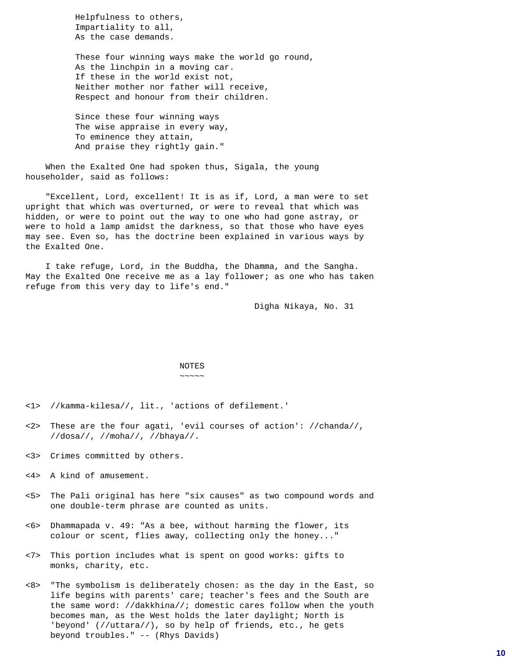Helpfulness to others, Impartiality to all, As the case demands.

 These four winning ways make the world go round, As the linchpin in a moving car. If these in the world exist not, Neither mother nor father will receive, Respect and honour from their children.

 Since these four winning ways The wise appraise in every way, To eminence they attain, And praise they rightly gain."

 When the Exalted One had spoken thus, Sigala, the young householder, said as follows:

 "Excellent, Lord, excellent! It is as if, Lord, a man were to set upright that which was overturned, or were to reveal that which was hidden, or were to point out the way to one who had gone astray, or were to hold a lamp amidst the darkness, so that those who have eyes may see. Even so, has the doctrine been explained in various ways by the Exalted One.

 I take refuge, Lord, in the Buddha, the Dhamma, and the Sangha. May the Exalted One receive me as a lay follower; as one who has taken refuge from this very day to life's end."

Digha Nikaya, No. 31

 NOTES ~~~~~

- <1> //kamma-kilesa//, lit., 'actions of defilement.'
- <2> These are the four agati, 'evil courses of action': //chanda//, //dosa//, //moha//, //bhaya//.
- <3> Crimes committed by others.
- <4> A kind of amusement.
- <5> The Pali original has here "six causes" as two compound words and one double-term phrase are counted as units.
- <6> Dhammapada v. 49: "As a bee, without harming the flower, its colour or scent, flies away, collecting only the honey..."
- <7> This portion includes what is spent on good works: gifts to monks, charity, etc.
- <8> "The symbolism is deliberately chosen: as the day in the East, so life begins with parents' care; teacher's fees and the South are the same word: //dakkhina//; domestic cares follow when the youth becomes man, as the West holds the later daylight; North is 'beyond' (//uttara//), so by help of friends, etc., he gets beyond troubles." -- (Rhys Davids)